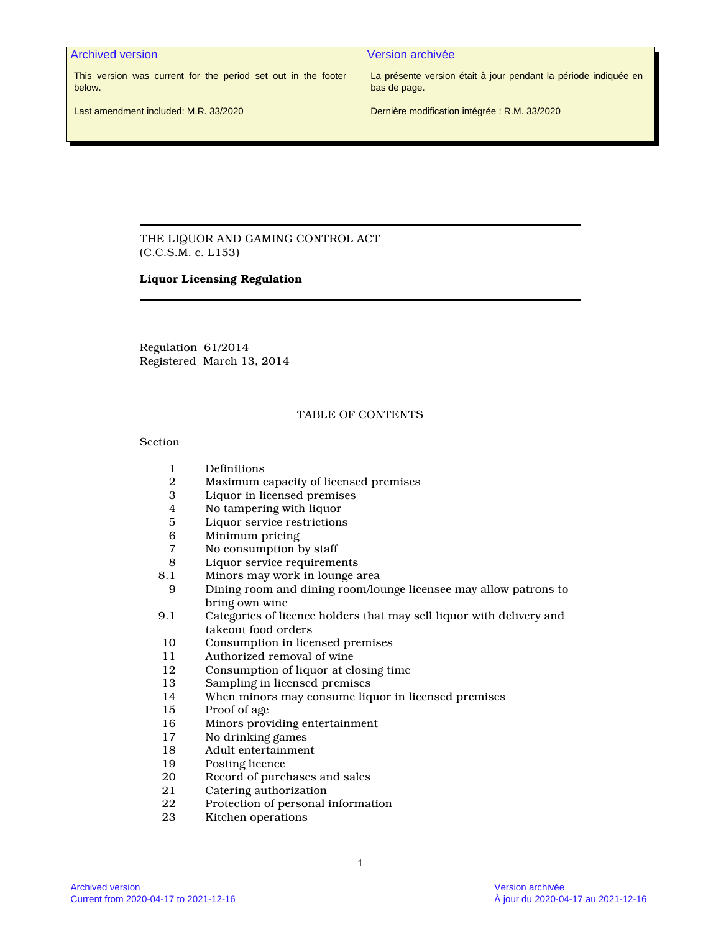Archived version Version archivée

This version was current for the period set out in the footer below.

La présente version était à jour pendant la période indiquée en bas de page.

Last amendment included: M.R. 33/2020

Dernière modification intégrée : R.M. 33/2020

THE LIQUOR AND GAMING CONTROL ACT (C.C.S.M. c. L153)

#### **Liquor Licensing Regulation**

Regulation 61/2014 Registered March 13, 2014

# TABLE OF CONTENTS

Section

- 1 Definitions
- 2 Maximum capacity of licensed premises
- 3 Liquor in licensed premises
- 4 No tampering with liquor
- 5 Liquor service restrictions<br>6 Minimum pricing
- 6 Minimum pricing
- No consumption by staff
- 8 Liquor service requirements
- 8.1 Minors may work in lounge area<br>9 Dining room and dining room/lou
- 9 Dining room and dining room/lounge licensee may allow patrons to bring own wine
- 9.1 Categories of licence holders that may sell liquor with delivery and takeout food orders
- 10 Consumption in licensed premises
- 11 Authorized removal of wine<br>12 Consumption of liquor at cle
- Consumption of liquor at closing time
- 13 Sampling in licensed premises
- 14 When minors may consume liquor in licensed premises
- 15 Proof of age
- 16 Minors providing entertainment<br>17 No drinking games
- 17 No drinking games<br>18 Adult entertainmen
- 18 Adult entertainment
- 19 Posting licence
- 20 Record of purchases and sales<br>21 Catering authorization
- 21 Catering authorization<br>22 Protection of personal
- Protection of personal information
- 23 Kitchen operations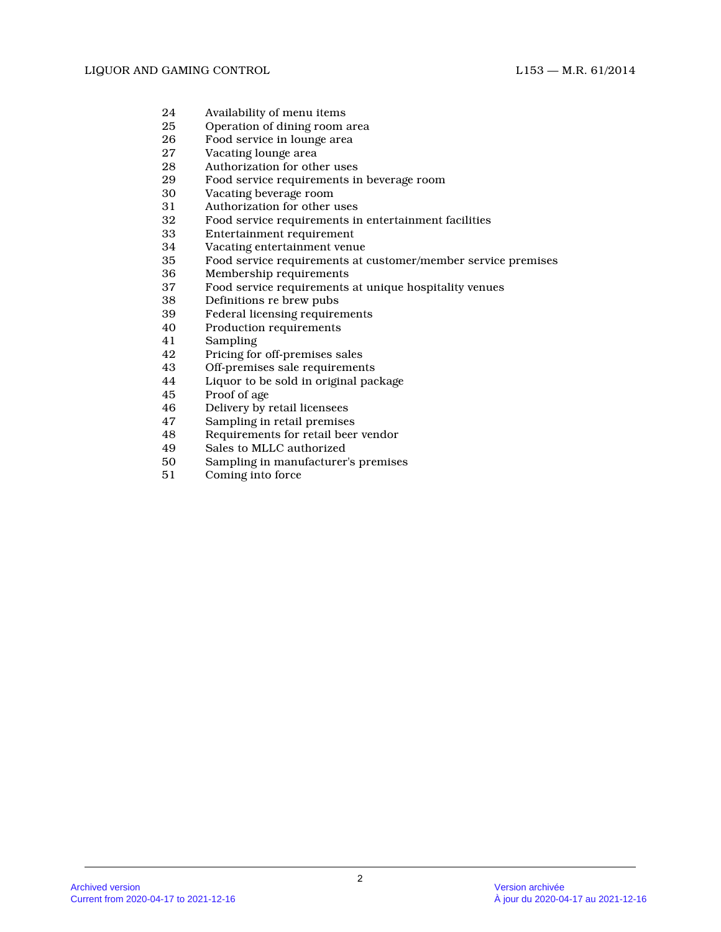- 24 Availability of menu items<br>25 Operation of dining room a
- Operation of dining room area
- 26 Food service in lounge area
- 27 Vacating lounge area<br>28 Authorization for oth
- 28 Authorization for other uses<br>29 Food service requirements in
- 29 Food service requirements in beverage room
- 30 Vacating beverage room<br>31 Authorization for other
- Authorization for other uses
- 32 Food service requirements in entertainment facilities
- 33 Entertainment requirement
- 34 Vacating entertainment venue<br>35 Food service requirements at 0
- Food service requirements at customer/member service premises
- 36 Membership requirements
- 37 Food service requirements at unique hospitality venues
- 38 Definitions re brew pubs
- 39 Federal licensing requirements<br>40 Production requirements
- Production requirements
- 41 Sampling
- 42 Pricing for off-premises sales<br>43 Off-premises sale requiremen
- 43 Off-premises sale requirements<br>44 Liquor to be sold in original pac
- 44 Liquor to be sold in original package<br>45 Proof of age
- 45 Proof of age<br>46 Delivery by
- 46 Delivery by retail licensees<br>47 Sampling in retail premises
- 47 Sampling in retail premises<br>48 Requirements for retail beer
- 48 Requirements for retail beer vendor<br>49 Sales to MLLC authorized
- 49 Sales to MLLC authorized<br>50 Sampling in manufacturer
- Sampling in manufacturer's premises
- 51 Coming into force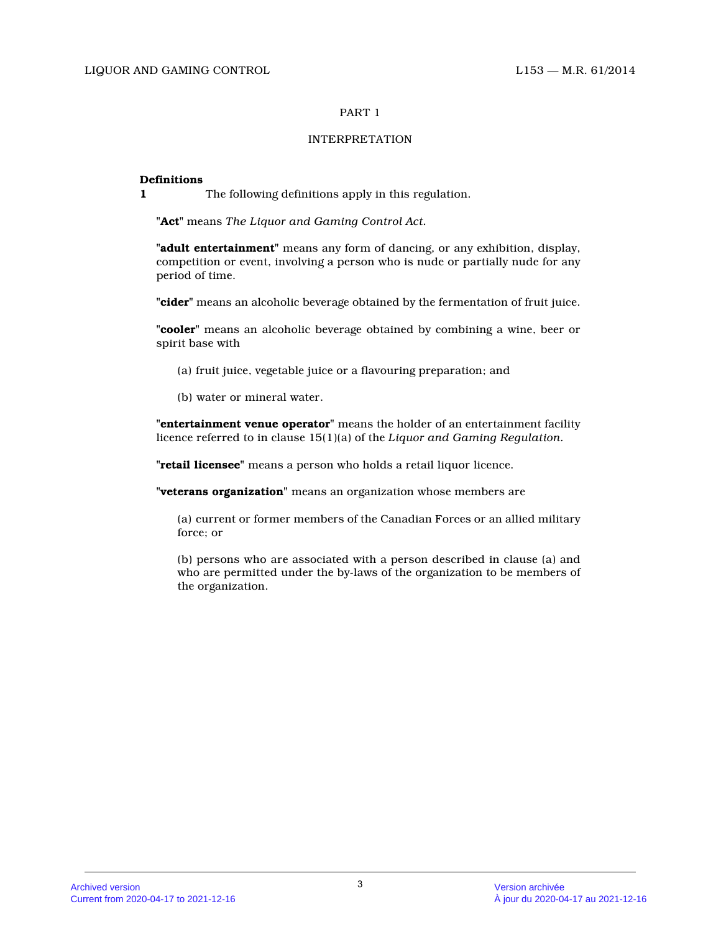# INTERPRETATION

#### **Definitions**

**1** The following definitions apply in this regulation.

**"Act"** means *The Liquor and Gaming Control Act.*

**"adult entertainment"** means any form of dancing, or any exhibition, display, competition or event, involving a person who is nude or partially nude for any period of time.

**"cider"** means an alcoholic beverage obtained by the fermentation of fruit juice.

**"cooler"** means an alcoholic beverage obtained by combining a wine, beer or spirit base with

- (a) fruit juice, vegetable juice or a flavouring preparation; and
- (b) water or mineral water.

**"entertainment venue operator"** means the holder of an entertainment facility licence referred to in clause 15(1)(a) of the *Liquor and Gaming Regulation.*

**"retail licensee"** means a person who holds a retail liquor licence.

**"veterans organization"** means an organization whose members are

(a) current or former members of the Canadian Forces or an allied military force; or

(b) persons who are associated with a person described in clause (a) and who are permitted under the by-laws of the organization to be members of the organization.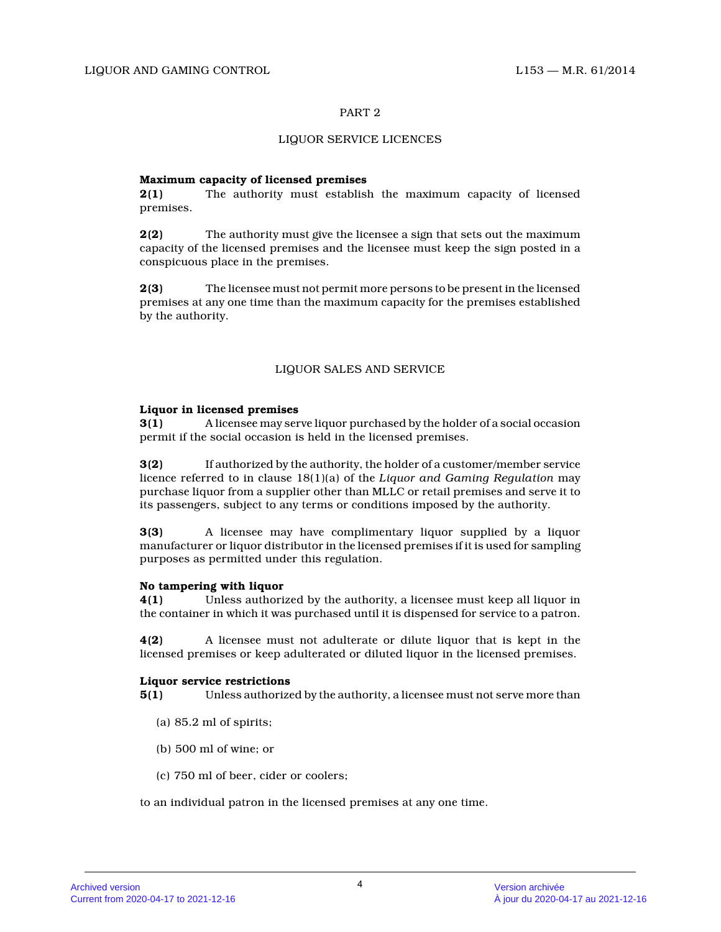# LIQUOR SERVICE LICENCES

# **Maximum capacity of licensed premises**

**2(1)** The authority must establish the maximum capacity of licensed premises.

**2(2)** The authority must give the licensee a sign that sets out the maximum capacity of the licensed premises and the licensee must keep the sign posted in a conspicuous place in the premises.

**2(3)** The licensee must not permit more persons to be present in the licensed premises at any one time than the maximum capacity for the premises established by the authority.

# LIQUOR SALES AND SERVICE

# **Liquor in licensed premises**

**3(1)** A licensee may serve liquor purchased by the holder of a social occasion permit if the social occasion is held in the licensed premises.

**3(2)** If authorized by the authority, the holder of a customer/member service licence referred to in clause 18(1)(a) of the *Liquor and Gaming Regulation* may purchase liquor from a supplier other than MLLC or retail premises and serve it to its passengers, subject to any terms or conditions imposed by the authority.

**3(3)** A licensee may have complimentary liquor supplied by a liquor manufacturer or liquor distributor in the licensed premises if it is used for sampling purposes as permitted under this regulation.

# **No tampering with liquor**

**4(1)** Unless authorized by the authority, a licensee must keep all liquor in the container in which it was purchased until it is dispensed for service to a patron.

**4(2)** A licensee must not adulterate or dilute liquor that is kept in the licensed premises or keep adulterated or diluted liquor in the licensed premises.

# **Liquor service restrictions**

**5(1)** Unless authorized by the authority, a licensee must not serve more than

- (a) 85.2 ml of spirits;
- (b) 500 ml of wine; or
- (c) 750 ml of beer, cider or coolers;

to an individual patron in the licensed premises at any one time.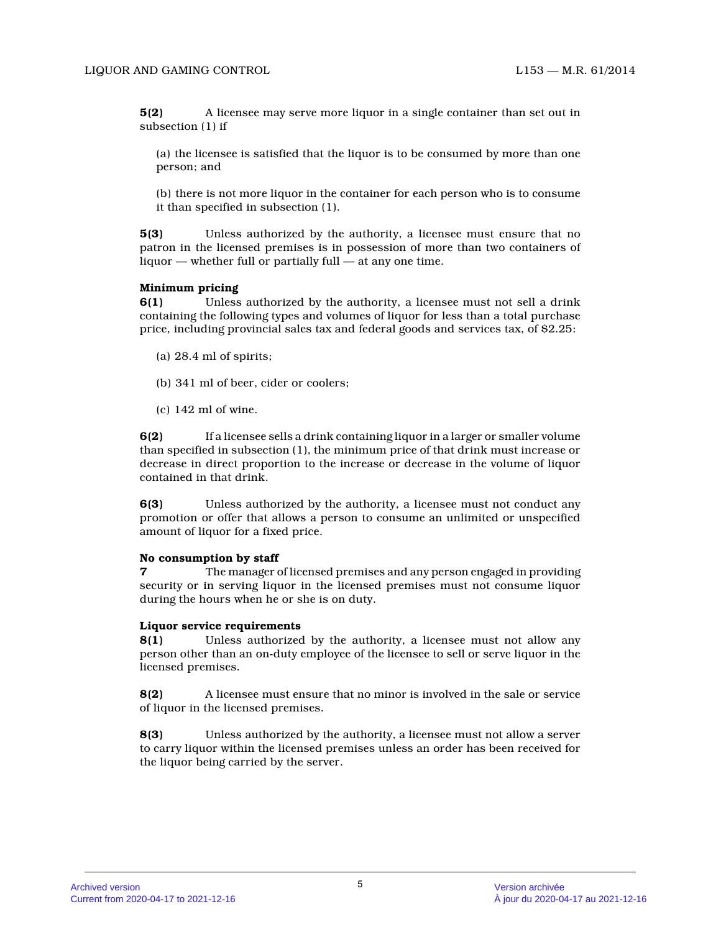**5(2)** A licensee may serve more liquor in a single container than set out in subsection (1) if

(a) the licensee is satisfied that the liquor is to be consumed by more than one person; and

(b) there is not more liquor in the container for each person who is to consume it than specified in subsection (1).

**5(3)** Unless authorized by the authority, a licensee must ensure that no patron in the licensed premises is in possession of more than two containers of liquor — whether full or partially full — at any one time.

# **Minimum pricing**

**6(1)** Unless authorized by the authority, a licensee must not sell a drink containing the following types and volumes of liquor for less than a total purchase price, including provincial sales tax and federal goods and services tax, of \$2.25:

- (a) 28.4 ml of spirits;
- (b) 341 ml of beer, cider or coolers;
- (c) 142 ml of wine.

**6(2)** If a licensee sells a drink containing liquor in a larger or smaller volume than specified in subsection (1), the minimum price of that drink must increase or decrease in direct proportion to the increase or decrease in the volume of liquor contained in that drink.

**6(3)** Unless authorized by the authority, a licensee must not conduct any promotion or offer that allows a person to consume an unlimited or unspecified amount of liquor for a fixed price.

#### **No consumption by staff**

**7** The manager of licensed premises and any person engaged in providing security or in serving liquor in the licensed premises must not consume liquor during the hours when he or she is on duty.

#### **Liquor service requirements**

**8(1)** Unless authorized by the authority, a licensee must not allow any person other than an on-duty employee of the licensee to sell or serve liquor in the licensed premises.

**8(2)** A licensee must ensure that no minor is involved in the sale or service of liquor in the licensed premises.

**8(3)** Unless authorized by the authority, a licensee must not allow a server to carry liquor within the licensed premises unless an order has been received for the liquor being carried by the server.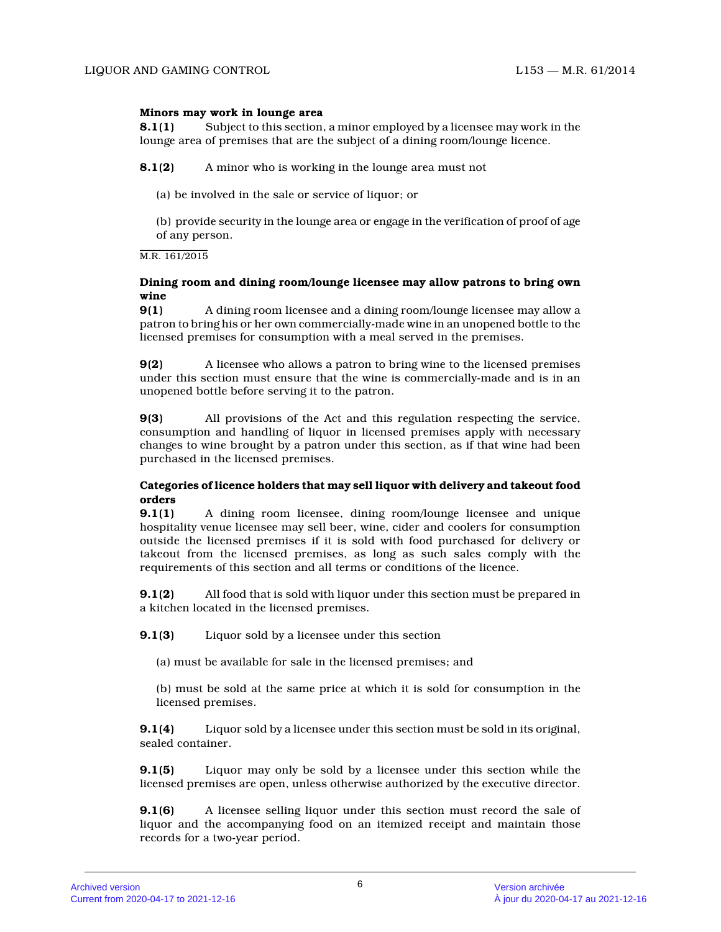#### **Minors may work in lounge area**

**8.1(1)** Subject to this section, a minor employed by a licensee may work in the lounge area of premises that are the subject of a dining room/lounge licence.

**8.1(2)** A minor who is working in the lounge area must not

(a) be involved in the sale or service of liquor; or

(b) provide security in the lounge area or engage in the verification of proof of age of any person.

#### M.R. 161/2015

# **Dining room and dining room/lounge licensee may allow patrons to bring own wine**

**9(1)** A dining room licensee and a dining room/lounge licensee may allow a patron to bring his or her own commercially-made wine in an unopened bottle to the licensed premises for consumption with a meal served in the premises.

**9(2)** A licensee who allows a patron to bring wine to the licensed premises under this section must ensure that the wine is commercially-made and is in an unopened bottle before serving it to the patron.

**9(3)** All provisions of the Act and this regulation respecting the service, consumption and handling of liquor in licensed premises apply with necessary changes to wine brought by a patron under this section, as if that wine had been purchased in the licensed premises.

# **Categories of licence holders that may sell liquor with delivery and takeout food orders**

**9.1(1)** A dining room licensee, dining room/lounge licensee and unique hospitality venue licensee may sell beer, wine, cider and coolers for consumption outside the licensed premises if it is sold with food purchased for delivery or takeout from the licensed premises, as long as such sales comply with the requirements of this section and all terms or conditions of the licence.

**9.1(2)** All food that is sold with liquor under this section must be prepared in a kitchen located in the licensed premises.

**9.1(3)** Liquor sold by a licensee under this section

(a) must be available for sale in the licensed premises; and

(b) must be sold at the same price at which it is sold for consumption in the licensed premises.

**9.1(4)** Liquor sold by a licensee under this section must be sold in its original, sealed container.

**9.1(5)** Liquor may only be sold by a licensee under this section while the licensed premises are open, unless otherwise authorized by the executive director.

**9.1(6)** A licensee selling liquor under this section must record the sale of liquor and the accompanying food on an itemized receipt and maintain those records for a two-year period.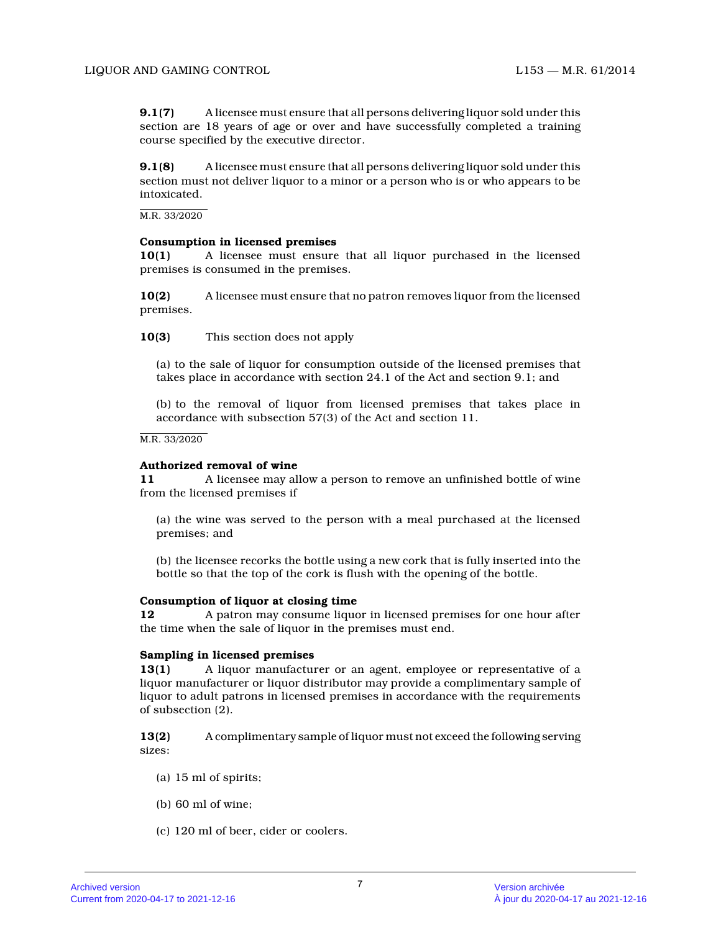**9.1(7)** A licensee must ensure that all persons delivering liquor sold under this section are 18 years of age or over and have successfully completed a training course specified by the executive director.

**9.1(8)** A licensee must ensure that all persons delivering liquor sold under this section must not deliver liquor to a minor or a person who is or who appears to be intoxicated.

M.R. 33/2020

# **Consumption in licensed premises**

**10(1)** A licensee must ensure that all liquor purchased in the licensed premises is consumed in the premises.

**10(2)** A licensee must ensure that no patron removes liquor from the licensed premises.

**10(3)** This section does not apply

(a) to the sale of liquor for consumption outside of the licensed premises that takes place in accordance with section 24.1 of the Act and section 9.1; and

(b) to the removal of liquor from licensed premises that takes place in accordance with subsection 57(3) of the Act and section 11.

M.R. 33/2020

#### **Authorized removal of wine**

**11** A licensee may allow a person to remove an unfinished bottle of wine from the licensed premises if

(a) the wine was served to the person with a meal purchased at the licensed premises; and

(b) the licensee recorks the bottle using a new cork that is fully inserted into the bottle so that the top of the cork is flush with the opening of the bottle.

# **Consumption of liquor at closing time**

**12** A patron may consume liquor in licensed premises for one hour after the time when the sale of liquor in the premises must end.

#### **Sampling in licensed premises**

**13(1)** A liquor manufacturer or an agent, employee or representative of a liquor manufacturer or liquor distributor may provide a complimentary sample of liquor to adult patrons in licensed premises in accordance with the requirements of subsection (2).

**13(2)** A complimentary sample of liquor must not exceed the following serving sizes:

- (a) 15 ml of spirits;
- (b) 60 ml of wine;
- (c) 120 ml of beer, cider or coolers.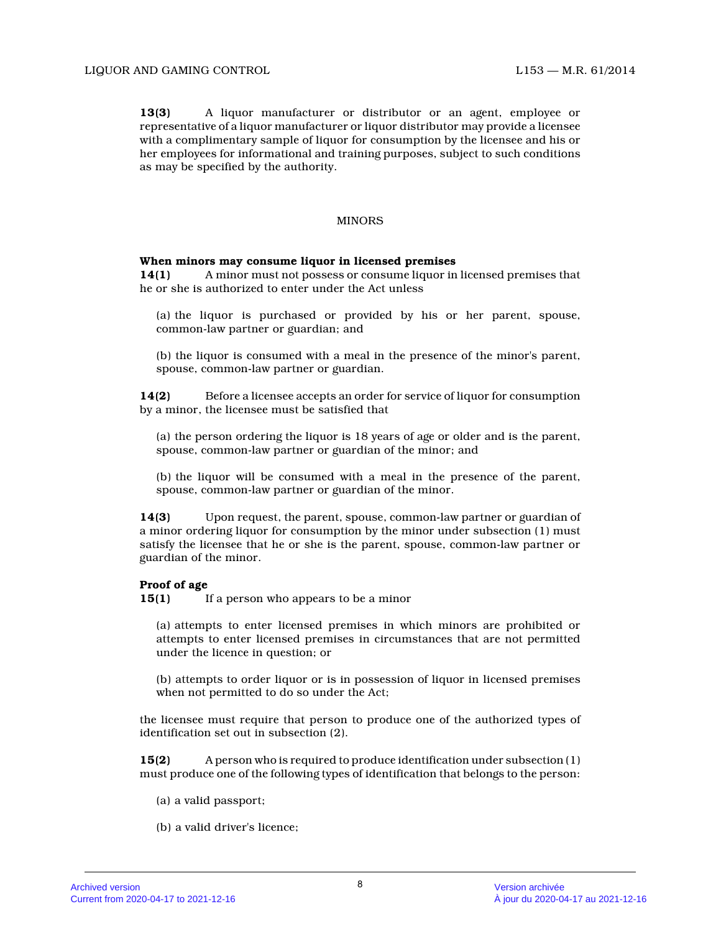**13(3)** A liquor manufacturer or distributor or an agent, employee or representative of a liquor manufacturer or liquor distributor may provide a licensee with a complimentary sample of liquor for consumption by the licensee and his or her employees for informational and training purposes, subject to such conditions as may be specified by the authority.

# MINORS

#### **When minors may consume liquor in licensed premises**

**14(1)** A minor must not possess or consume liquor in licensed premises that he or she is authorized to enter under the Act unless

- (a) the liquor is purchased or provided by his or her parent, spouse, common-law partner or guardian; and
- (b) the liquor is consumed with a meal in the presence of the minor's parent, spouse, common-law partner or guardian.

**14(2)** Before a licensee accepts an order for service of liquor for consumption by a minor, the licensee must be satisfied that

(a) the person ordering the liquor is 18 years of age or older and is the parent, spouse, common-law partner or guardian of the minor; and

(b) the liquor will be consumed with a meal in the presence of the parent, spouse, common-law partner or guardian of the minor .

**14(3)** Upon request, the parent, spouse, common-law partner or guardian of a minor ordering liquor for consumption by the minor under subsection (1) must satisfy the licensee that he or she is the parent, spouse, common-law partner or guardian of the minor.

#### **Proof of age**

**15(1)** If a person who appears to be a minor

(a) attempts to enter licensed premises in which minors are prohibited or attempts to enter licensed premises in circumstances that are not permitted under the licence in question; or

(b) attempts to order liquor or is in possession of liquor in licensed premises when not permitted to do so under the Act;

the licensee must require that person to produce one of the authorized types of identification set out in subsection (2).

**15(2)** A person who is required to produce identification under subsection (1) must produce one of the following types of identification that belongs to the person:

- (a) a valid passport;
- (b) a valid driver's licence;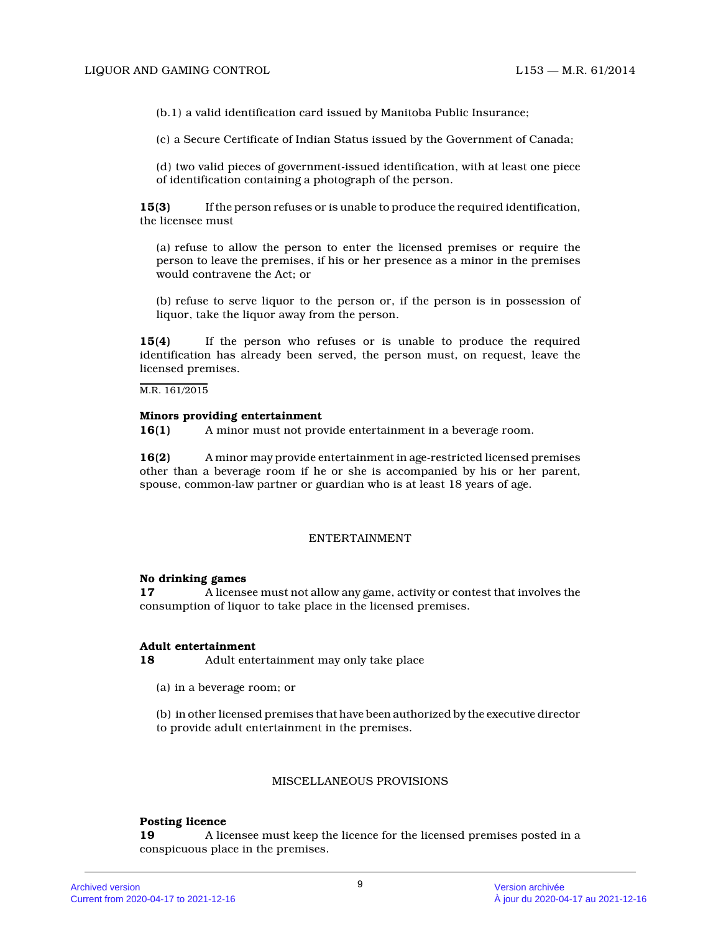(b.1) a valid identification card issued by Manitoba Public Insurance;

(c) a Secure Certificate of Indian Status issued by the Government of Canada;

(d) two valid pieces of government-issued identification, with at least one piece of identification containing a photograph of the person.

**15(3)** If the person refuses or is unable to produce the required identification, the licensee must

(a) refuse to allow the person to enter the licensed premises or require the person to leave the premises, if his or her presence as a minor in the premises would contravene the Act; or

(b) refuse to serve liquor to the person or, if the person is in possession of liquor, take the liquor away from the person.

**15(4)** If the person who refuses or is unable to produce the required identification has already been served, the person must, on request, leave the licensed premises.

M.R. 161/2015

#### **Minors providing entertainment**

**16(1)** A minor must not provide entertainment in a beverage room.

**16(2)** A minor may provide entertainment in age-restricted licensed premises other than a beverage room if he or she is accompanied by his or her parent, spouse, common-law partner or guardian who is at least 18 years of age.

# ENTERTAINMENT

#### **No drinking games**

**17** A licensee must not allow any game, activity or contest that involves the consumption of liquor to take place in the licensed premises.

#### **Adult entertainment**

**18** Adult entertainment may only take place

- (a) in a beverage room; or
- (b) in other licensed premises that have been authorized by the executive director to provide adult entertainment in the premises.

#### MISCELLANEOUS PROVISIONS

# **Posting licence**

**19** A licensee must keep the licence for the licensed premises posted in a conspicuous place in the premises.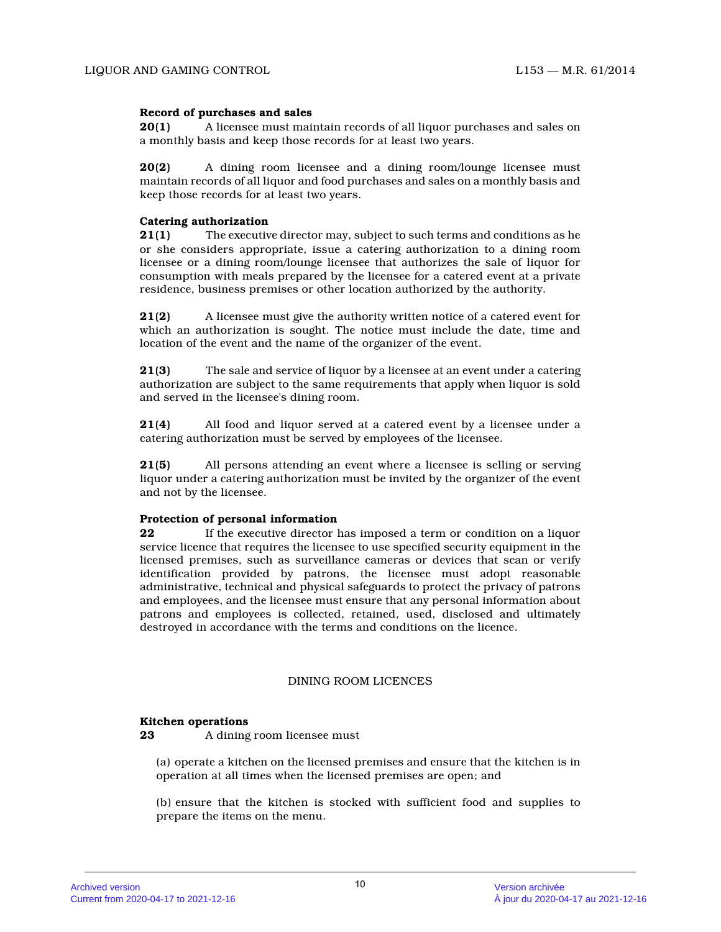# **Record of purchases and sales**

**20(1)** A licensee must maintain records of all liquor purchases and sales on a monthly basis and keep those records for at least two years.

**20(2)** A dining room licensee and a dining room/lounge licensee must maintain records of all liquor and food purchases and sales on a monthly basis and keep those records for at least two years.

#### **Catering authorization**

**21(1)** The executive director may, subject to such terms and conditions as he or she considers appropriate, issue a catering authorization to a dining room licensee or a dining room/lounge licensee that authorizes the sale of liquor for consumption with meals prepared by the licensee for a catered event at a private residence, business premises or other location authorized by the authority.

**21(2)** A licensee must give the authority written notice of a catered event for which an authorization is sought. The notice must include the date, time and location of the event and the name of the organizer of the event.

**21(3)** The sale and service of liquor by a licensee at an event under a catering authorization are subject to the same requirements that apply when liquor is sold and served in the licensee's dining room.

**21(4)** All food and liquor served at a catered event by a licensee under a catering authorization must be served by employees of the licensee.

**21(5)** All persons attending an event where a licensee is selling or serving liquor under a catering authorization must be invited by the organizer of the event and not by the licensee.

# **Protection of personal information**

**22** If the executive director has imposed a term or condition on a liquor service licence that requires the licensee to use specified security equipment in the licensed premises, such as surveillance cameras or devices that scan or verify identification provided by patrons, the licensee must adopt reasonable administrative, technical and physical safeguards to protect the privacy of patrons and employees, and the licensee must ensure that any personal information about patrons and employees is collected, retained, used, disclosed and ultimately destroyed in accordance with the terms and conditions on the licence.

# DINING ROOM LICENCES

#### **Kitchen operations**

**23** A dining room licensee must

(a) operate a kitchen on the licensed premises and ensure that the kitchen is in operation at all times when the licensed premises are open; and

(b) ensure that the kitchen is stocked with sufficient food and supplies to prepare the items on the menu.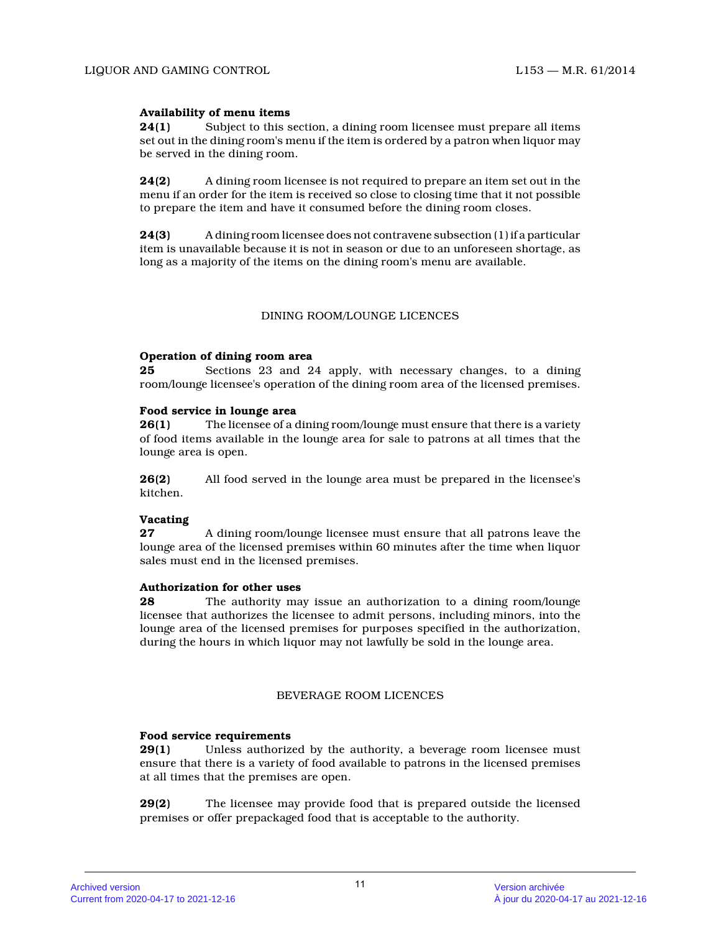# **Availability of menu items**

**24(1)** Subject to this section, a dining room licensee must prepare all items set out in the dining room's menu if the item is ordered by a patron when liquor may be served in the dining room.

**24(2)** A dining room licensee is not required to prepare an item set out in the menu if an order for the item is received so close to closing time that it not possible to prepare the item and have it consumed before the dining room closes.

**24(3)** A dining room licensee does not contravene subsection (1) if a particular item is unavailable because it is not in season or due to an unforeseen shortage, as long as a majority of the items on the dining room's menu are available.

#### DINING ROOM/LOUNGE LICENCES

#### **Operation of dining room area**

**25** Sections 23 and 24 apply, with necessary changes, to a dining room/lounge licensee's operation of the dining room area of the licensed premises.

#### **Food service in lounge area**

**26(1)** The licensee of a dining room/lounge must ensure that there is a variety of food items available in the lounge area for sale to patrons at all times that the lounge area is open.

**26(2)** All food served in the lounge area must be prepared in the licensee's kitchen.

# **Vacating**

**27** A dining room/lounge licensee must ensure that all patrons leave the lounge area of the licensed premises within 60 minutes after the time when liquor sales must end in the licensed premises.

#### **Authorization for other uses**

**28** The authority may issue an authorization to a dining room/lounge licensee that authorizes the licensee to admit persons, including minors, into the lounge area of the licensed premises for purposes specified in the authorization, during the hours in which liquor may not lawfully be sold in the lounge area.

# BEVERAGE ROOM LICENCES

# **Food service requirements**

**29(1)** Unless authorized by the authority, a beverage room licensee must ensure that there is a variety of food available to patrons in the licensed premises at all times that the premises are open.

**29(2)** The licensee may provide food that is prepared outside the licensed premises or offer prepackaged food that is acceptable to the authority.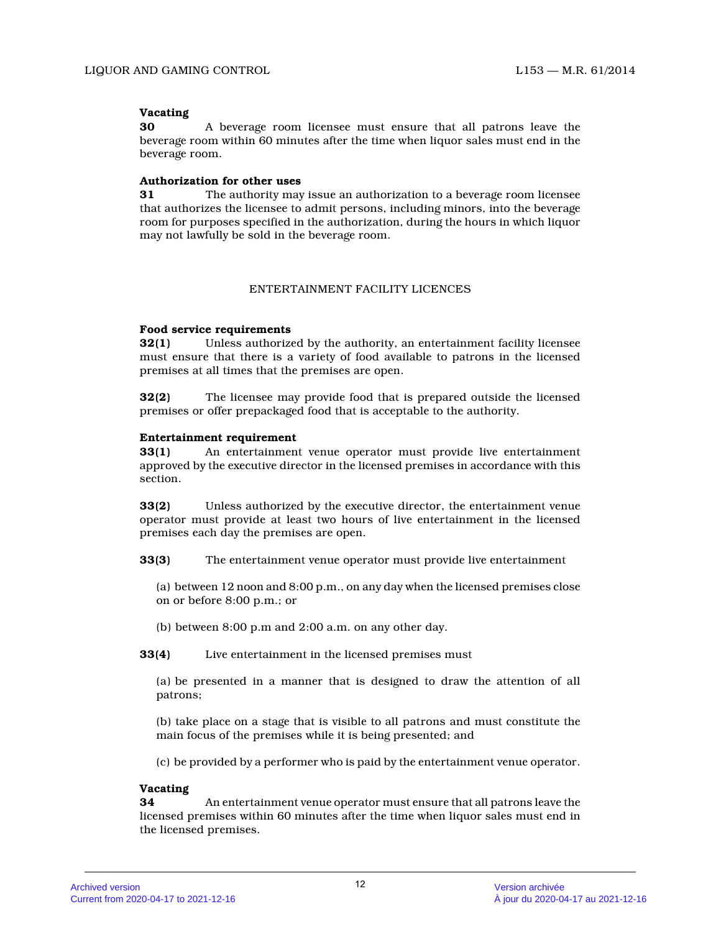# **Vacating**

**30** A beverage room licensee must ensure that all patrons leave the beverage room within 60 minutes after the time when liquor sales must end in the beverage room.

# **Authorization for other uses**

**31** The authority may issue an authorization to a beverage room licensee that authorizes the licensee to admit persons, including minors, into the beverage room for purposes specified in the authorization, during the hours in which liquor may not lawfully be sold in the beverage room.

# ENTERTAINMENT FACILITY LICENCES

# **Food service requirements**

**32(1)** Unless authorized by the authority, an entertainment facility licensee must ensure that there is a variety of food available to patrons in the licensed premises at all times that the premises are open.

**32(2)** The licensee may provide food that is prepared outside the licensed premises or offer prepackaged food that is acceptable to the authority.

# **Entertainment requirement**

**33(1)** An entertainment venue operator must provide live entertainment approved by the executive director in the licensed premises in accordance with this section.

**33(2)** Unless authorized by the executive director, the entertainment venue operator must provide at least two hours of live entertainment in the licensed premises each day the premises are open.

**33(3)** The entertainment venue operator must provide live entertainment

(a) between 12 noon and 8:00 p.m., on any day when the licensed premises close on or before 8:00 p.m.; or

(b) between 8:00 p.m and 2:00 a.m. on any other day.

**33(4)** Live entertainment in the licensed premises must

(a) be presented in a manner that is designed to draw the attention of all patrons;

(b) take place on a stage that is visible to all patrons and must constitute the main focus of the premises while it is being presented; and

(c) be provided by a performer who is paid by the entertainment venue operator.

# **Vacating**

**34** An entertainment venue operator must ensure that all patrons leave the licensed premises within 60 minutes after the time when liquor sales must end in the licensed premises.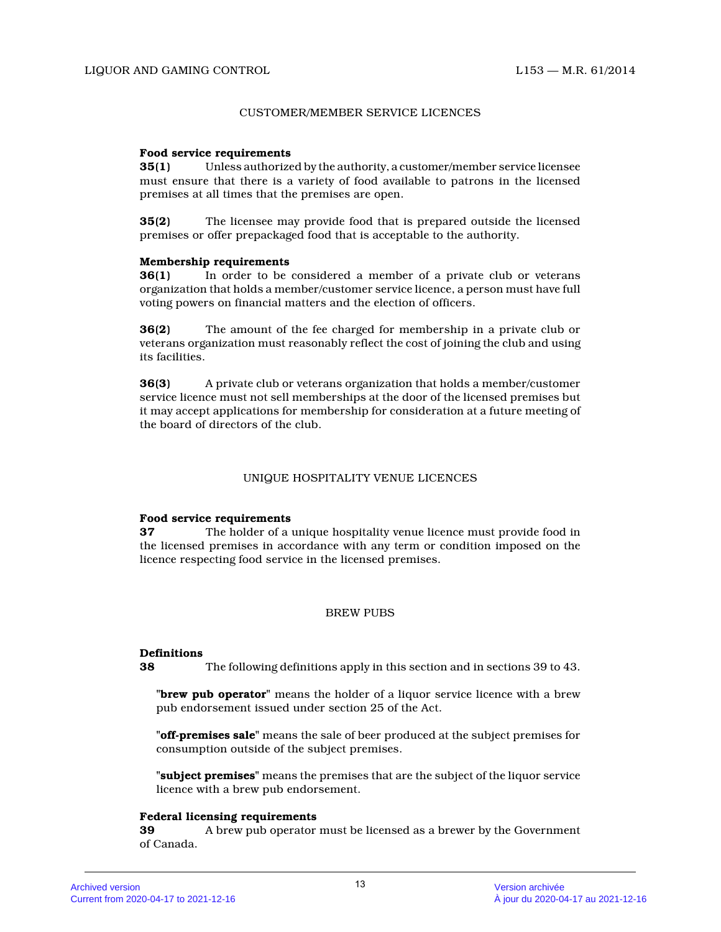#### CUSTOMER/MEMBER SERVICE LICENCES

#### **Food service requirements**

**35(1)** Unless authorized by the authority, a customer/member service licensee must ensure that there is a variety of food available to patrons in the licensed premises at all times that the premises are open.

**35(2)** The licensee may provide food that is prepared outside the licensed premises or offer prepackaged food that is acceptable to the authority.

#### **Membership requirements**

**36(1)** In order to be considered a member of a private club or veterans organization that holds a member/customer service licence, a person must have full voting powers on financial matters and the election of officers.

**36(2)** The amount of the fee charged for membership in a private club or veterans organization must reasonably reflect the cost of joining the club and using its facilities.

**36(3)** A private club or veterans organization that holds a member/customer service licence must not sell memberships at the door of the licensed premises but it may accept applications for membership for consideration at a future meeting of the board of directors of the club.

#### UNIQUE HOSPITALITY VENUE LICENCES

#### **Food service requirements**

**37** The holder of a unique hospitality venue licence must provide food in the licensed premises in accordance with any term or condition imposed on the licence respecting food service in the licensed premises.

#### BREW PUBS

#### **Definitions**

**38** The following definitions apply in this section and in sections 39 to 43.

**"brew pub operator"** means the holder of a liquor service licence with a brew pub endorsement issued under section 25 of the Act.

**"off-premises sale"** means the sale of beer produced at the subject premises for consumption outside of the subject premises.

**"subject premises"** means the premises that are the subject of the liquor service licence with a brew pub endorsement.

#### **Federal licensing requirements**

**39** A brew pub operator must be licensed as a brewer by the Government of Canada.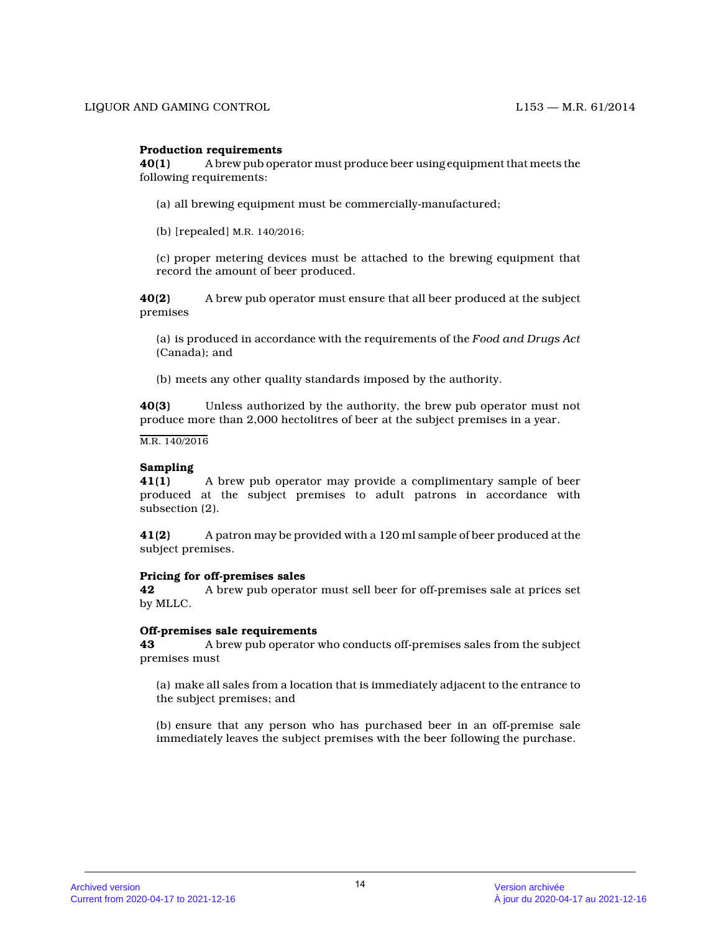# **Production requirements**

**40(1)** A brew pub operator must produce beer using equipment that meets the following requirements:

(a) all brewing equipment must be commercially-manufactured;

(b) [repealed] M.R. 140/2016;

(c) proper metering devices must be attached to the brewing equipment that record the amount of beer produced.

**40(2)** A brew pub operator must ensure that all beer produced at the subject premises

(a) is produced in accordance with the requirements of the *Food and Drugs Act* (Canada); and

(b) meets any other quality standards imposed by the authority.

**40(3)** Unless authorized by the authority, the brew pub operator must not produce more than 2,000 hectolitres of beer at the subject premises in a year.

M.R. 140/2016

#### **Sampling**

**41(1)** A brew pub operator may provide a complimentary sample of beer produced at the subject premises to adult patrons in accordance with subsection (2).

**41(2)** A patron may be provided with a 120 ml sample of beer produced at the subject premises.

#### **Pricing for off-premises sales**

**42** A brew pub operator must sell beer for off-premises sale at prices set by MLLC.

#### **Off-premises sale requirements**

**43** A brew pub operator who conducts off-premises sales from the subject premises must

(a) make all sales from a location that is immediately adjacent to the entrance to the subject premises; and

(b) ensure that any person who has purchased beer in an off-premise sale immediately leaves the subject premises with the beer following the purchase.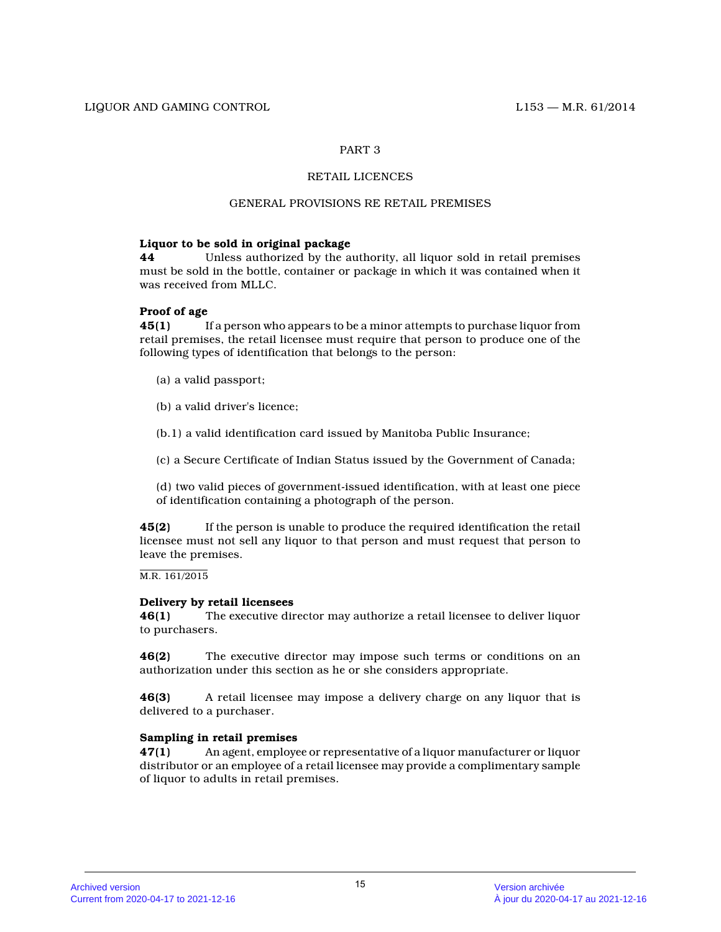# RETAIL LICENCES

# GENERAL PROVISIONS RE RETAIL PREMISES

# **Liquor to be sold in original package**

**44** Unless authorized by the authority, all liquor sold in retail premises must be sold in the bottle, container or package in which it was contained when it was received from MLLC.

# **Proof of age**

**45(1)** If a person who appears to be a minor attempts to purchase liquor from retail premises, the retail licensee must require that person to produce one of the following types of identification that belongs to the person:

- (a) a valid passport;
- (b) a valid driver's licence;
- (b.1) a valid identification card issued by Manitoba Public Insurance;
- (c) a Secure Certificate of Indian Status issued by the Government of Canada;

(d) two valid pieces of government-issued identification, with at least one piece of identification containing a photograph of the person.

**45(2)** If the person is unable to produce the required identification the retail licensee must not sell any liquor to that person and must request that person to leave the premises.

M.R. 161/2015

#### **Delivery by retail licensees**

**46(1)** The executive director may authorize a retail licensee to deliver liquor to purchasers.

**46(2)** The executive director may impose such terms or conditions on an authorization under this section as he or she considers appropriate.

**46(3)** A retail licensee may impose a delivery charge on any liquor that is delivered to a purchaser.

# **Sampling in retail premises**

**47(1)** An agent, employee or representative of a liquor manufacturer or liquor distributor or an employee of a retail licensee may provide a complimentary sample of liquor to adults in retail premises.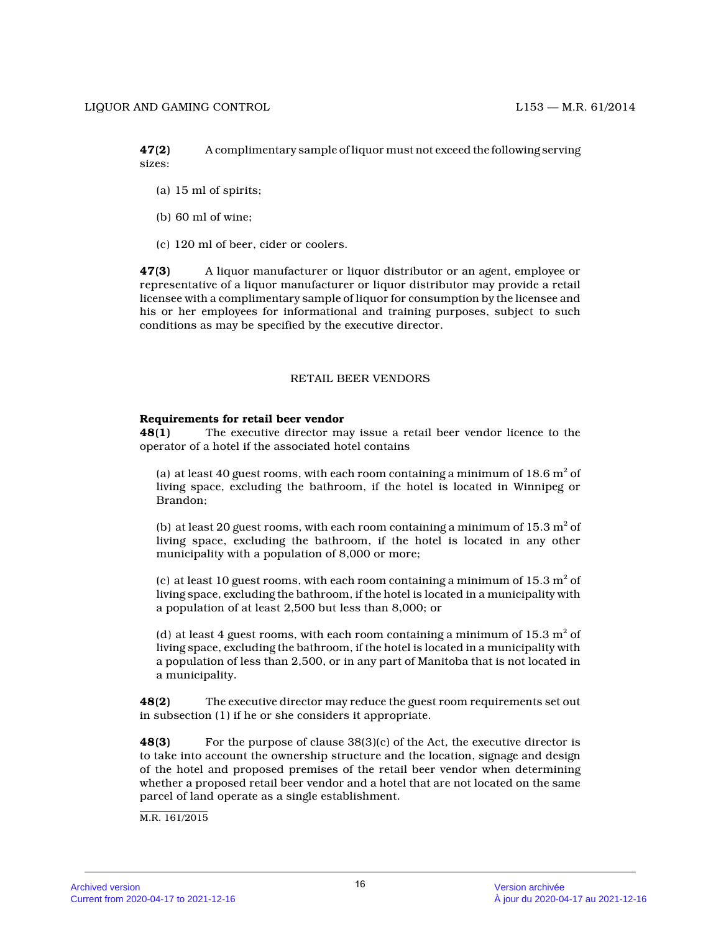**47(2)** A complimentary sample of liquor must not exceed the following serving sizes:

- (a) 15 ml of spirits;
- (b) 60 ml of wine;
- (c) 120 ml of beer, cider or coolers.

**47(3)** A liquor manufacturer or liquor distributor or an agent, employee or representative of a liquor manufacturer or liquor distributor may provide a retail licensee with a complimentary sample of liquor for consumption by the licensee and his or her employees for informational and training purposes, subject to such conditions as may be specified by the executive director.

# RETAIL BEER VENDORS

# **Requirements for retail beer vendor**

**48(1)** The executive director may issue a retail beer vendor licence to the operator of a hotel if the associated hotel contain s

(a) at least 40 guest rooms, with each room containing a minimum of 18.6  $\mathrm{m}^2$  of living space, excluding the bathroom, if the hotel is located in Winnipeg or Brandon;

(b) at least 20 guest rooms, with each room containing a minimum of 15.3  $\mathrm{m}^2$  of living space, excluding the bathroom, if the hotel is located in any other municipality with a population of 8,000 or more;

(c) at least 10 guest rooms, with each room containing a minimum of 15.3  $\mathrm{m}^2$  of living space, excluding the bathroom, if the hotel is located in a municipality with a population of at least 2,500 but less than 8,000; or

(d) at least 4 guest rooms, with each room containing a minimum of 15.3  $\mathrm{m}^2$  of living space, excluding the bathroom, if the hotel is located in a municipality with a population of less than 2,500, or in any part of Manitoba that is not located in a municipality.

**48(2)** The executive director may reduce the guest room requirements set out in subsection (1) if he or she considers it appropriate.

**48(3)** For the purpose of clause 38(3)(c) of the Act, the executive director is to take into account the ownership structure and the location, signage and design of the hotel and proposed premises of the retail beer vendor when determining whether a proposed retail beer vendor and a hotel that are not located on the same parcel of land operate as a single establishment.

M.R. 161/2015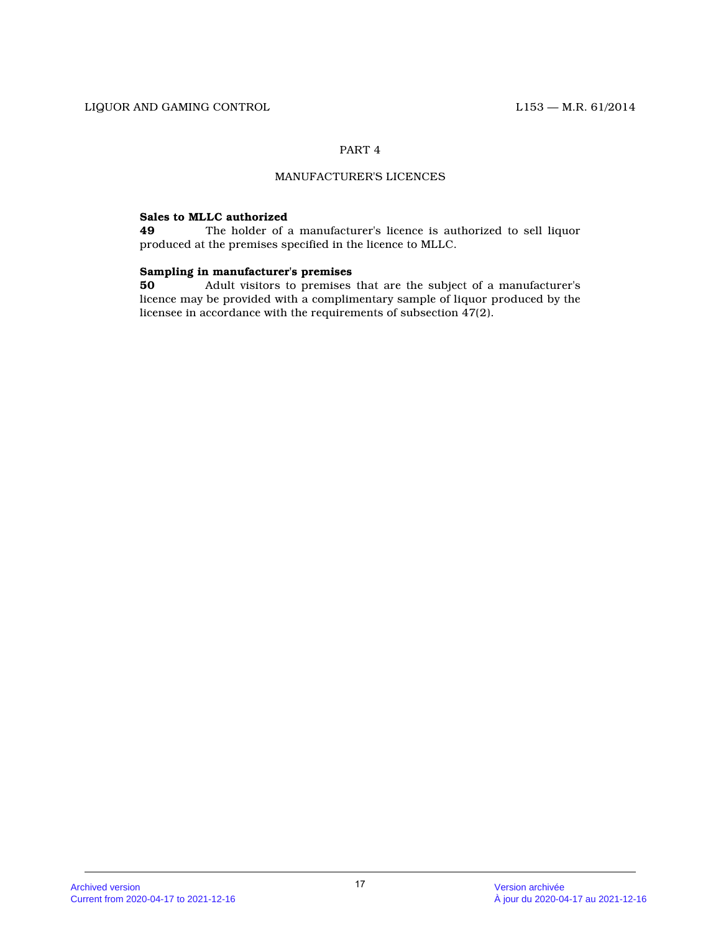# MANUFACTURER'S LICENCES

# **Sales to MLLC authorized**

**49** The holder of a manufacturer's licence is authorized to sell liquor produced at the premises specified in the licence to MLLC.

# **Sampling in manufacturer's premises<br>50** Adult visitors to premises

**50** Adult visitors to premises that are the subject of a manufacturer's licence may be provided with a complimentary sample of liquor produced by the licensee in accordance with the requirements of subsection 47(2).